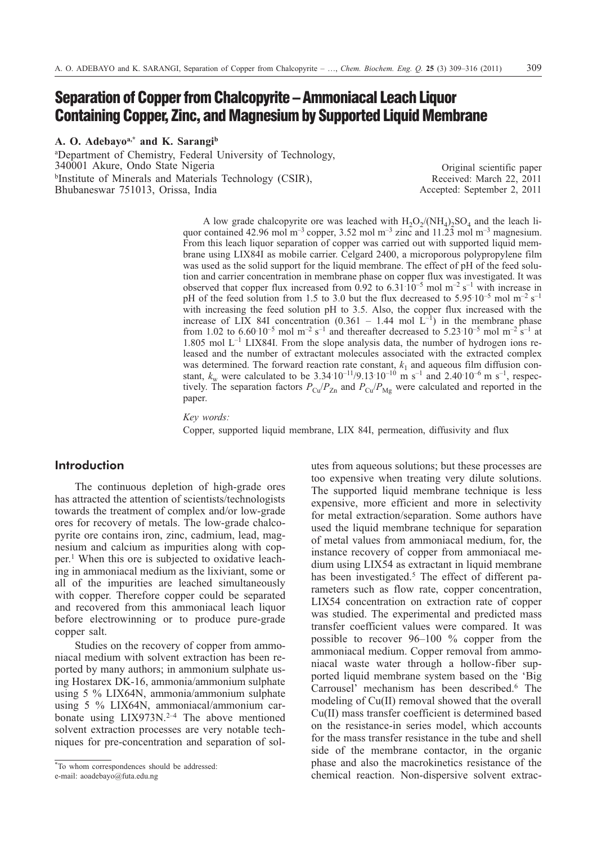# **Separation of Copper from Chalcopyrite – Ammoniacal Leach Liquor Containing Copper, Zinc, and Magnesium by Supported Liquid Membrane**

**A. O. Adebayoa,\* and K. Sarangib**

a Department of Chemistry, Federal University of Technology, 340001 Akure, Ondo State Nigeria bInstitute of Minerals and Materials Technology (CSIR), Bhubaneswar 751013, Orissa, India

Original scientific paper Received: March 22, 2011 Accepted: September 2, 2011

A low grade chalcopyrite ore was leached with  $H_2O_2/(NH_4)_2SO_4$  and the leach liquor contained 42.96 mol m<sup>-3</sup> copper, 3.52 mol m<sup>-3</sup> zinc and 11.23 mol m<sup>-3</sup> magnesium. From this leach liquor separation of copper was carried out with supported liquid membrane using LIX84I as mobile carrier. Celgard 2400, a microporous polypropylene film was used as the solid support for the liquid membrane. The effect of pH of the feed solution and carrier concentration in membrane phase on copper flux was investigated. It was observed that copper flux increased from 0.92 to  $6.31 \cdot 10^{-5}$  mol m<sup>-2</sup> s<sup>-1</sup> with increase in pH of the feed solution from 1.5 to 3.0 but the flux decreased to  $5.95 \cdot 10^{-5}$  mol m<sup>-2</sup> s<sup>-1</sup> with increasing the feed solution pH to 3.5. Also, the copper flux increased with the increase of LIX 84I concentration  $(0.361 - 1.44 \text{ mol L}^{-1})$  in the membrane phase from 1.02 to 6.60  $10^{-5}$  mol m<sup>-2</sup> s<sup>-1</sup> and thereafter decreased to 5.23  $10^{-5}$  mol m<sup>-2</sup> s<sup>-1</sup> at  $1.805$  mol L<sup>-1</sup> LIX84I. From the slope analysis data, the number of hydrogen ions released and the number of extractant molecules associated with the extracted complex was determined. The forward reaction rate constant,  $k_1$  and aqueous film diffusion constant,  $k_w$  were calculated to be 3.34  $10^{-11}/9.13 \cdot 10^{-10}$  m s<sup>-1</sup> and 2.40  $10^{-6}$  m s<sup>-1</sup>, respectively. The separation factors  $P_{Cu}/P_{Zn}$  and  $P_{Cu}/P_{Mg}$  were calculated and reported in the paper.

*Key words:*

Copper, supported liquid membrane, LIX 84I, permeation, diffusivity and flux

# **Introduction**

The continuous depletion of high-grade ores has attracted the attention of scientists/technologists towards the treatment of complex and/or low-grade ores for recovery of metals. The low-grade chalcopyrite ore contains iron, zinc, cadmium, lead, magnesium and calcium as impurities along with copper.1 When this ore is subjected to oxidative leaching in ammoniacal medium as the lixiviant, some or all of the impurities are leached simultaneously with copper. Therefore copper could be separated and recovered from this ammoniacal leach liquor before electrowinning or to produce pure-grade copper salt.

Studies on the recovery of copper from ammoniacal medium with solvent extraction has been reported by many authors; in ammonium sulphate using Hostarex DK-16, ammonia/ammonium sulphate using 5 % LIX64N, ammonia/ammonium sulphate using 5 % LIX64N, ammoniacal/ammonium carbonate using LIX973N.<sup>2-4</sup> The above mentioned solvent extraction processes are very notable techniques for pre-concentration and separation of sol-

\*To whom correspondences should be addressed: e-mail: aoadebayo@futa.edu.ng

utes from aqueous solutions; but these processes are too expensive when treating very dilute solutions. The supported liquid membrane technique is less expensive, more efficient and more in selectivity for metal extraction/separation. Some authors have used the liquid membrane technique for separation of metal values from ammoniacal medium, for, the instance recovery of copper from ammoniacal medium using LIX54 as extractant in liquid membrane has been investigated.<sup>5</sup> The effect of different parameters such as flow rate, copper concentration, LIX54 concentration on extraction rate of copper was studied. The experimental and predicted mass transfer coefficient values were compared. It was possible to recover 96–100 % copper from the ammoniacal medium. Copper removal from ammoniacal waste water through a hollow-fiber supported liquid membrane system based on the 'Big Carrousel' mechanism has been described.<sup>6</sup> The modeling of Cu(II) removal showed that the overall Cu(II) mass transfer coefficient is determined based on the resistance-in series model, which accounts for the mass transfer resistance in the tube and shell side of the membrane contactor, in the organic phase and also the macrokinetics resistance of the chemical reaction. Non-dispersive solvent extrac-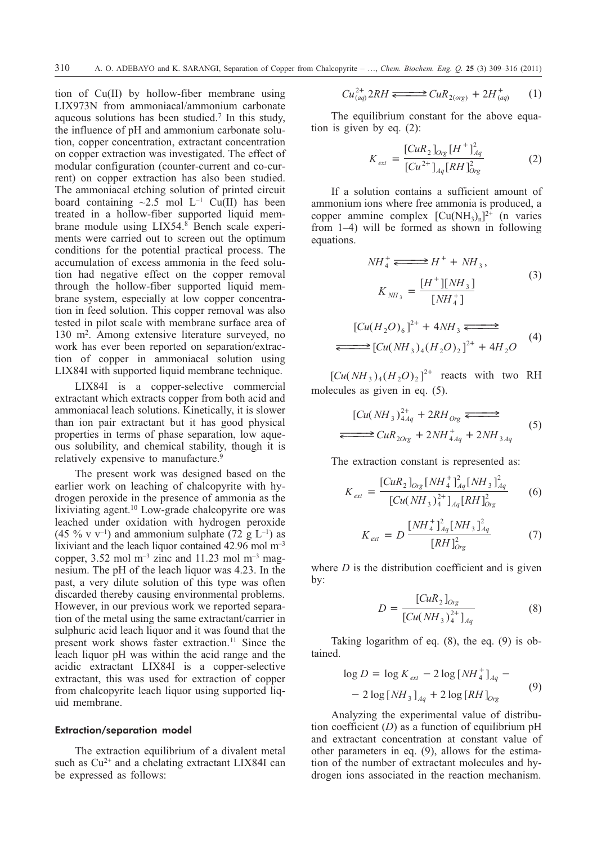tion of Cu(II) by hollow-fiber membrane using LIX973N from ammoniacal/ammonium carbonate aqueous solutions has been studied.7 In this study, the influence of pH and ammonium carbonate solution, copper concentration, extractant concentration on copper extraction was investigated. The effect of modular configuration (counter-current and co-current) on copper extraction has also been studied. The ammoniacal etching solution of printed circuit board containing  $\sim$ 2.5 mol L<sup>-1</sup> Cu(II) has been treated in a hollow-fiber supported liquid membrane module using  $LIX54$ .<sup>8</sup> Bench scale experiments were carried out to screen out the optimum conditions for the potential practical process. The accumulation of excess ammonia in the feed solution had negative effect on the copper removal through the hollow-fiber supported liquid membrane system, especially at low copper concentration in feed solution. This copper removal was also tested in pilot scale with membrane surface area of 130 m2. Among extensive literature surveyed, no work has ever been reported on separation/extraction of copper in ammoniacal solution using LIX84I with supported liquid membrane technique.

LIX84I is a copper-selective commercial extractant which extracts copper from both acid and ammoniacal leach solutions. Kinetically, it is slower than ion pair extractant but it has good physical properties in terms of phase separation, low aqueous solubility, and chemical stability, though it is relatively expensive to manufacture.<sup>9</sup>

The present work was designed based on the earlier work on leaching of chalcopyrite with hydrogen peroxide in the presence of ammonia as the lixiviating agent.10 Low-grade chalcopyrite ore was leached under oxidation with hydrogen peroxide (45 % v v<sup>-1</sup>) and ammonium sulphate (72 g L<sup>-1</sup>) as lixiviant and the leach liquor contained 42.96 mol m–3 copper, 3.52 mol  $m^{-3}$  zinc and 11.23 mol  $m^{-3}$  magnesium. The pH of the leach liquor was 4.23. In the past, a very dilute solution of this type was often discarded thereby causing environmental problems. However, in our previous work we reported separation of the metal using the same extractant/carrier in sulphuric acid leach liquor and it was found that the present work shows faster extraction.<sup>11</sup> Since the leach liquor pH was within the acid range and the acidic extractant LIX84I is a copper-selective extractant, this was used for extraction of copper from chalcopyrite leach liquor using supported liquid membrane.

# Extraction/separation model

The extraction equilibrium of a divalent metal such as  $Cu^{2+}$  and a chelating extractant LIX84I can be expressed as follows:

$$
Cu_{(aq)}^{2+}2RH \xrightarrow{\longrightarrow} CuR_{2(org)} + 2H_{(aq)}^{+} \tag{1}
$$

The equilibrium constant for the above equation is given by eq. (2):

$$
K_{ext} = \frac{[CuR_2]_{Org}[H^+]_{Aq}^2}{[Cu^{2+}]_{Aq}[RH]_{Org}^2}
$$
 (2)

If a solution contains a sufficient amount of ammonium ions where free ammonia is produced, a copper ammine complex  $[Cu(NH_3)_n]^2$ <sup>+</sup> (n varies from 1–4) will be formed as shown in following equations.

$$
NH_{4}^{+} \Longleftrightarrow H^{+} + NH_{3},
$$
\n
$$
K_{NH_{3}} = \frac{[H^{+}][NH_{3}]}{[NH_{4}^{+}]}
$$
\n
$$
[Cu(H_{2}O)_{6}]^{2+} + 4NH_{3} \Longleftrightarrow
$$
\n
$$
\Longleftrightarrow [Cu(NH_{3})_{4}(H_{2}O)_{2}]^{2+} + 4H_{2}O
$$
\n(4)

 $\left[ Cu(NH_3)_{4} (H_2 O)_2 \right]^{2+}$  reacts with two RH molecules as given in eq. (5).

$$
[Cu(NH3)2+4Aq + 2RHOrg —
$$
  
\n
$$
\Longleftrightarrow CuR2Org + 2NH+4Aq + 2NH3Aq
$$
 (5)

The extraction constant is represented as:

$$
K_{ext} = \frac{[CuR_2]_{Org}[NH_4^+]_{Aq}^2[NH_3^+]_{Aq}^2}{[Cu(NH_3)_4^{2+}]_{Aq}[RH]^2_{Org}} \tag{6}
$$

$$
K_{ext} = D \frac{[NH_4^+]_{Aq}^2 [NH_3\,]_{Aq}^2}{[RH]_{Org}^2}
$$
 (7)

where  $D$  is the distribution coefficient and is given by:

$$
D = \frac{[CuR_2]_{Org}}{[Cu(NH_3)_4^{2+}]_{Ag}} \tag{8}
$$

Taking logarithm of eq. (8), the eq. (9) is obtained.

$$
\log D = \log K_{ext} - 2 \log [NH_4^+]_{Aq} - 2 \log [NH_3]_{Aq} + 2 \log [RH]_{Org}
$$
 (9)

Analyzing the experimental value of distribution coefficient (*D*) as a function of equilibrium pH and extractant concentration at constant value of other parameters in eq. (9), allows for the estimation of the number of extractant molecules and hydrogen ions associated in the reaction mechanism.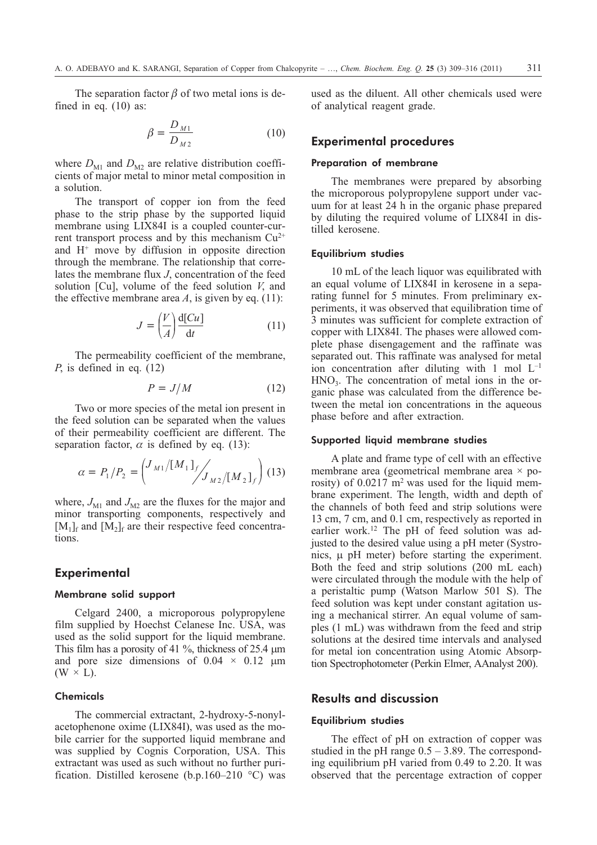The separation factor  $\beta$  of two metal ions is defined in eq. (10) as:

$$
\beta = \frac{D_{M1}}{D_{M2}}\tag{10}
$$

where  $D_{\text{M1}}$  and  $D_{\text{M2}}$  are relative distribution coefficients of major metal to minor metal composition in a solution.

The transport of copper ion from the feed phase to the strip phase by the supported liquid membrane using LIX84I is a coupled counter-current transport process and by this mechanism  $Cu^{2+}$ and  $H^+$  move by diffusion in opposite direction through the membrane. The relationship that correlates the membrane flux *J*, concentration of the feed solution [Cu], volume of the feed solution *V*, and the effective membrane area  $A$ , is given by eq. (11):

$$
J = \left(\frac{V}{A}\right) \frac{\mathrm{d}[Cu]}{\mathrm{d}t} \tag{11}
$$

The permeability coefficient of the membrane, *P*, is defined in eq. (12)

$$
P = J/M \tag{12}
$$

Two or more species of the metal ion present in the feed solution can be separated when the values of their permeability coefficient are different. The separation factor,  $\alpha$  is defined by eq. (13):

$$
\alpha = P_1/P_2 = \left(\frac{J_{M1}/[M_1]_f}{J_{M2}/[M_2]_f}\right) (13)
$$

where,  $J_{\rm M1}$  and  $J_{\rm M2}$  are the fluxes for the major and minor transporting components, respectively and  $[M_1]_f$  and  $[M_2]_f$  are their respective feed concentrations.

# **Experimental**

# Membrane solid support

Celgard 2400, a microporous polypropylene film supplied by Hoechst Celanese Inc. USA, was used as the solid support for the liquid membrane. This film has a porosity of 41  $\%$ , thickness of 25.4  $\mu$ m and pore size dimensions of  $0.04 \times 0.12$  µm  $(W \times L)$ .

# **Chemicals**

The commercial extractant, 2-hydroxy-5-nonylacetophenone oxime (LIX84I), was used as the mobile carrier for the supported liquid membrane and was supplied by Cognis Corporation, USA. This extractant was used as such without no further purification. Distilled kerosene (b.p.160–210 °C) was used as the diluent. All other chemicals used were of analytical reagent grade.

# **Experimental procedures**

#### Preparation of membrane

The membranes were prepared by absorbing the microporous polypropylene support under vacuum for at least 24 h in the organic phase prepared by diluting the required volume of LIX84I in distilled kerosene.

#### Equilibrium studies

10 mL of the leach liquor was equilibrated with an equal volume of LIX84I in kerosene in a separating funnel for 5 minutes. From preliminary experiments, it was observed that equilibration time of 3 minutes was sufficient for complete extraction of copper with LIX84I. The phases were allowed complete phase disengagement and the raffinate was separated out. This raffinate was analysed for metal ion concentration after diluting with 1 mol  $L^{-1}$  $HNO<sub>3</sub>$ . The concentration of metal ions in the organic phase was calculated from the difference between the metal ion concentrations in the aqueous phase before and after extraction.

#### Supported liquid membrane studies

A plate and frame type of cell with an effective membrane area (geometrical membrane area × porosity) of  $0.0217 \text{ m}^2$  was used for the liquid membrane experiment. The length, width and depth of the channels of both feed and strip solutions were 13 cm, 7 cm, and 0.1 cm, respectively as reported in earlier work.12 The pH of feed solution was adjusted to the desired value using a pH meter (Systronics,  $\mu$  pH meter) before starting the experiment. Both the feed and strip solutions (200 mL each) were circulated through the module with the help of a peristaltic pump (Watson Marlow 501 S). The feed solution was kept under constant agitation using a mechanical stirrer. An equal volume of samples (1 mL) was withdrawn from the feed and strip solutions at the desired time intervals and analysed for metal ion concentration using Atomic Absorption Spectrophotometer (Perkin Elmer, AAnalyst 200).

# **Results and discussion**

#### Equilibrium studies

The effect of pH on extraction of copper was studied in the pH range  $0.5 - 3.89$ . The corresponding equilibrium pH varied from 0.49 to 2.20. It was observed that the percentage extraction of copper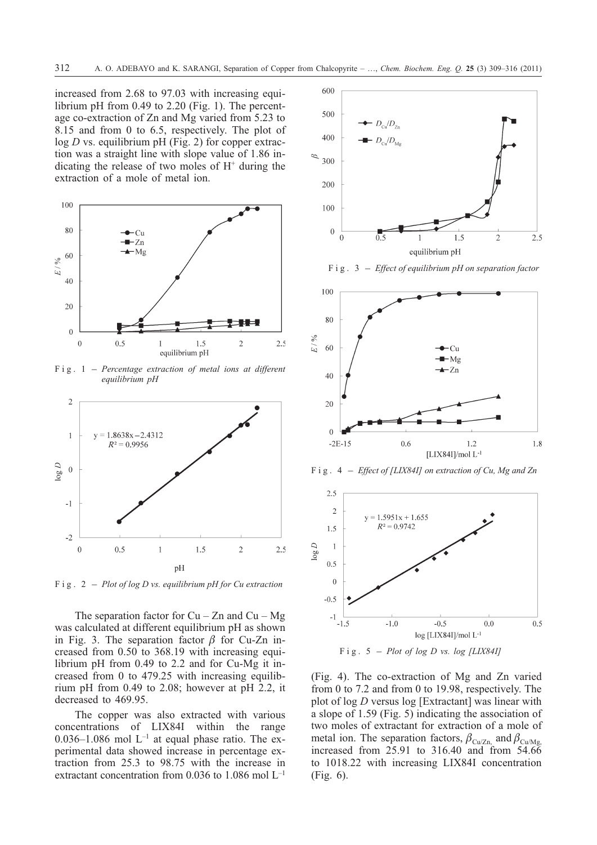increased from 2.68 to 97.03 with increasing equilibrium pH from 0.49 to 2.20 (Fig. 1). The percentage co-extraction of Zn and Mg varied from 5.23 to 8.15 and from 0 to 6.5, respectively. The plot of log *D* vs. equilibrium pH (Fig. 2) for copper extraction was a straight line with slope value of 1.86 indicating the release of two moles of  $H<sup>+</sup>$  during the extraction of a mole of metal ion.



*equilibrium pH*



The separation factor for  $Cu - Zn$  and  $Cu - Mg$ was calculated at different equilibrium pH as shown in Fig. 3. The separation factor  $\beta$  for Cu-Zn increased from 0.50 to 368.19 with increasing equilibrium pH from 0.49 to 2.2 and for Cu-Mg it increased from 0 to 479.25 with increasing equilibrium pH from 0.49 to 2.08; however at pH 2.2, it decreased to 469.95.

The copper was also extracted with various concentrations of LIX84I within the range 0.036–1.086 mol  $L^{-1}$  at equal phase ratio. The experimental data showed increase in percentage extraction from 25.3 to 98.75 with the increase in extractant concentration from 0.036 to 1.086 mol L–1







(Fig. 4). The co-extraction of Mg and Zn varied from 0 to 7.2 and from 0 to 19.98, respectively. The plot of log *D* versus log [Extractant] was linear with a slope of 1.59 (Fig. 5) indicating the association of two moles of extractant for extraction of a mole of metal ion. The separation factors,  $\beta_{\text{Cu/Zn}}$  and  $\beta_{\text{Cu/Mg}}$ , increased from 25.91 to 316.40 and from 54.66 to 1018.22 with increasing LIX84I concentration (Fig. 6).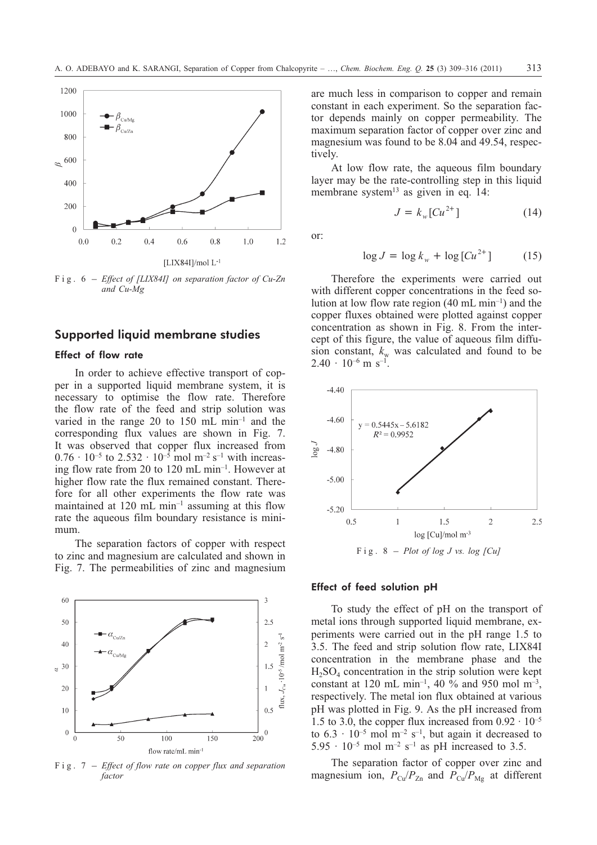

*and Cu-Mg*

# **Supported liquid membrane studies**

# Effect of flow rate

In order to achieve effective transport of copper in a supported liquid membrane system, it is necessary to optimise the flow rate. Therefore the flow rate of the feed and strip solution was varied in the range 20 to 150 mL min–1 and the corresponding flux values are shown in Fig. 7. It was observed that copper flux increased from  $0.76 \cdot 10^{-5}$  to  $2.532 \cdot 10^{-5}$  mol m<sup>-2</sup> s<sup>-1</sup> with increasing flow rate from 20 to 120 mL min–1. However at higher flow rate the flux remained constant. Therefore for all other experiments the flow rate was maintained at  $120 \text{ mL min}^{-1}$  assuming at this flow rate the aqueous film boundary resistance is minimum.

The separation factors of copper with respect to zinc and magnesium are calculated and shown in Fig. 7. The permeabilities of zinc and magnesium



*factor*

are much less in comparison to copper and remain constant in each experiment. So the separation factor depends mainly on copper permeability. The maximum separation factor of copper over zinc and magnesium was found to be 8.04 and 49.54, respectively.

At low flow rate, the aqueous film boundary layer may be the rate-controlling step in this liquid membrane system<sup>13</sup> as given in eq. 14:

$$
\quad \text{or:} \quad
$$

$$
\log J = \log k_w + \log \left[ C u^{2+} \right] \tag{15}
$$

 $J = k_w [C u^{2+}]$  (14)

Therefore the experiments were carried out with different copper concentrations in the feed solution at low flow rate region (40 mL min–1) and the copper fluxes obtained were plotted against copper concentration as shown in Fig. 8. From the intercept of this figure, the value of aqueous film diffusion constant,  $k_w$  was calculated and found to be  $2.40 \cdot 10^{-6}$  m s<sup>-1</sup>.



# Effect of feed solution pH

To study the effect of pH on the transport of metal ions through supported liquid membrane, experiments were carried out in the pH range 1.5 to 3.5. The feed and strip solution flow rate, LIX84I concentration in the membrane phase and the  $H_2SO_4$  concentration in the strip solution were kept constant at 120 mL min<sup>-1</sup>, 40 % and 950 mol m<sup>-3</sup>, respectively. The metal ion flux obtained at various pH was plotted in Fig. 9. As the pH increased from 1.5 to 3.0, the copper flux increased from  $0.92 \cdot 10^{-5}$ to  $6.3 \cdot 10^{-5}$  mol m<sup>-2</sup> s<sup>-1</sup>, but again it decreased to 5.95  $\cdot$  10<sup>-5</sup> mol m<sup>-2</sup> s<sup>-1</sup> as pH increased to 3.5.

The separation factor of copper over zinc and magnesium ion,  $P_{Cu}/P_{Zn}$  and  $P_{Cu}/P_{Mg}$  at different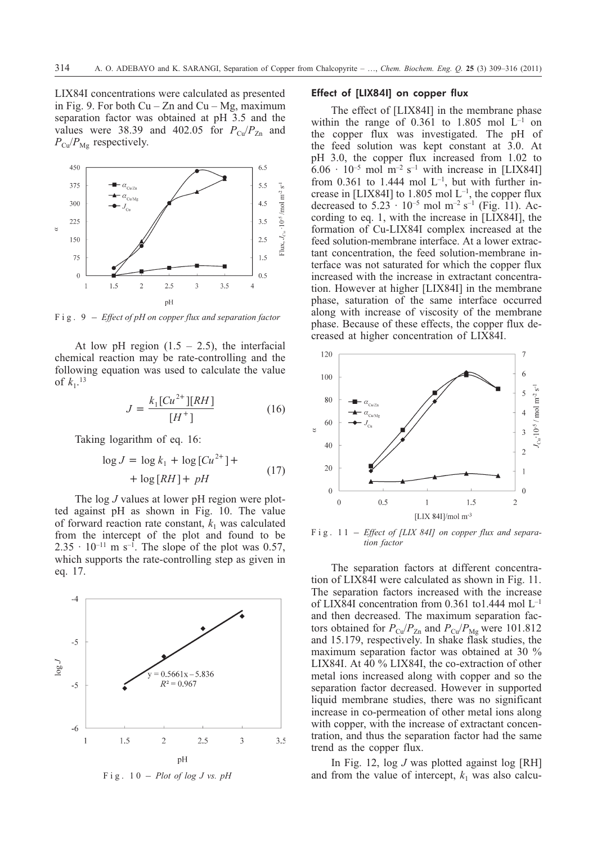LIX84I concentrations were calculated as presented in Fig. 9. For both  $Cu - Zn$  and  $Cu - Mg$ , maximum separation factor was obtained at pH 3.5 and the values were 38.39 and 402.05 for  $P_{\text{Cu}}/P_{\text{Zn}}$  and  $P_{\text{Cu}}/P_{\text{Mg}}$  respectively.



At low pH region  $(1.5 - 2.5)$ , the interfacial chemical reaction may be rate-controlling and the following equation was used to calculate the value of  $k_1$ <sup>13</sup>

$$
J = \frac{k_1 [C u^{2+}][RH]}{[H^+]}
$$
 (16)

Taking logarithm of eq. 16:

$$
\log J = \log k_1 + \log \left[ Cu^{2+} \right] +
$$
  
+ 
$$
\log \left[ RH \right] + pH
$$
 (17)

The log *J* values at lower pH region were plotted against pH as shown in Fig. 10. The value of forward reaction rate constant,  $k_1$  was calculated from the intercept of the plot and found to be  $2.35 \cdot 10^{-11}$  m s<sup>-1</sup>. The slope of the plot was 0.57, which supports the rate-controlling step as given in eq. 17.





### Effect of [LIX84I] on copper flux

The effect of [LIX84I] in the membrane phase within the range of  $0.361$  to 1.805 mol  $L^{-1}$  on the copper flux was investigated. The pH of the feed solution was kept constant at 3.0. At pH 3.0, the copper flux increased from 1.02 to  $6.06 \cdot 10^{-5}$  mol m<sup>-2</sup> s<sup>-1</sup> with increase in [LIX84I] from 0.361 to 1.444 mol  $L^{-1}$ , but with further increase in [LIX84I] to 1.805 mol  $L^{-1}$ , the copper flux decreased to  $5.23 \cdot 10^{-5}$  mol m<sup>-2</sup> s<sup>-1</sup> (Fig. 11). According to eq. 1, with the increase in [LIX84I], the formation of Cu-LIX84I complex increased at the feed solution-membrane interface. At a lower extractant concentration, the feed solution-membrane interface was not saturated for which the copper flux increased with the increase in extractant concentration. However at higher [LIX84I] in the membrane phase, saturation of the same interface occurred along with increase of viscosity of the membrane phase. Because of these effects, the copper flux decreased at higher concentration of LIX84I.



*tion factor*

The separation factors at different concentration of LIX84I were calculated as shown in Fig. 11. The separation factors increased with the increase of LIX84I concentration from 0.361 to1.444 mol L–1 and then decreased. The maximum separation factors obtained for  $P_{Cu}/P_{Zn}$  and  $P_{Cu}/P_{Mg}$  were 101.812 and 15.179, respectively. In shake flask studies, the maximum separation factor was obtained at 30 % LIX84I. At 40 % LIX84I, the co-extraction of other metal ions increased along with copper and so the separation factor decreased. However in supported liquid membrane studies, there was no significant increase in co-permeation of other metal ions along with copper, with the increase of extractant concentration, and thus the separation factor had the same trend as the copper flux.

In Fig. 12, log *J* was plotted against log [RH] and from the value of intercept,  $k_1$  was also calcu-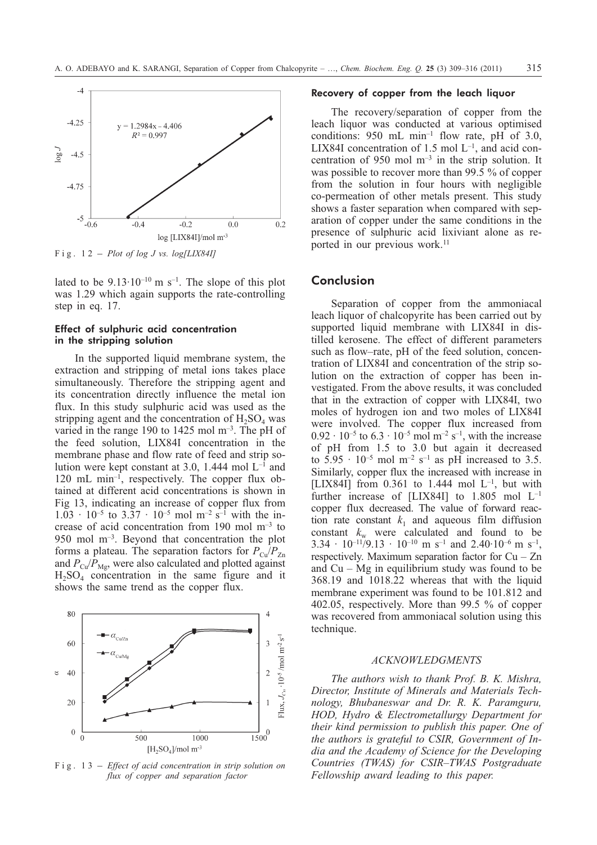

lated to be  $9.13 \cdot 10^{-10}$  m s<sup>-1</sup>. The slope of this plot was 1.29 which again supports the rate-controlling step in eq. 17.

# Effect of sulphuric acid concentration in the stripping solution

In the supported liquid membrane system, the extraction and stripping of metal ions takes place simultaneously. Therefore the stripping agent and its concentration directly influence the metal ion flux. In this study sulphuric acid was used as the stripping agent and the concentration of  $H_2SO_4$  was varied in the range 190 to 1425 mol  $m^{-3}$ . The pH of the feed solution, LIX84I concentration in the membrane phase and flow rate of feed and strip solution were kept constant at 3.0, 1.444 mol  $L^{-1}$  and 120 mL min–1, respectively. The copper flux obtained at different acid concentrations is shown in Fig 13, indicating an increase of copper flux from  $1.03 \cdot 10^{-5}$  to  $3.37 \cdot 10^{-5}$  mol m<sup>-2</sup> s<sup>-1</sup> with the increase of acid concentration from 190 mol m–3 to 950 mol m–3. Beyond that concentration the plot forms a plateau. The separation factors for  $P_{\text{Cu}}/P_{\text{Zn}}$ and  $P_{\text{Cu}}/P_{\text{Me}}$ , were also calculated and plotted against  $H<sub>2</sub>SO<sub>4</sub>$  concentration in the same figure and it shows the same trend as the copper flux.



*flux of copper and separation factor*

## Recovery of copper from the leach liquor

The recovery/separation of copper from the leach liquor was conducted at various optimised conditions: 950 mL min<sup>-1</sup> flow rate, pH of 3.0, LIX84I concentration of  $1.5$  mol  $L^{-1}$ , and acid concentration of 950 mol  $m<sup>-3</sup>$  in the strip solution. It was possible to recover more than 99.5 % of copper from the solution in four hours with negligible co-permeation of other metals present. This study shows a faster separation when compared with separation of copper under the same conditions in the presence of sulphuric acid lixiviant alone as reported in our previous work.<sup>11</sup>

## **Conclusion**

Separation of copper from the ammoniacal leach liquor of chalcopyrite has been carried out by supported liquid membrane with LIX84I in distilled kerosene. The effect of different parameters such as flow–rate, pH of the feed solution, concentration of LIX84I and concentration of the strip solution on the extraction of copper has been investigated. From the above results, it was concluded that in the extraction of copper with LIX84I, two moles of hydrogen ion and two moles of LIX84I were involved. The copper flux increased from  $0.92 \cdot 10^{-5}$  to  $6.3 \cdot 10^{-5}$  mol m<sup>-2</sup> s<sup>-1</sup>, with the increase of pH from 1.5 to 3.0 but again it decreased to  $5.95 \cdot 10^{-5}$  mol m<sup>-2</sup> s<sup>-1</sup> as pH increased to 3.5. Similarly, copper flux the increased with increase in [LIX84I] from 0.361 to 1.444 mol  $L^{-1}$ , but with further increase of [LIX84I] to 1.805 mol L–1 copper flux decreased. The value of forward reaction rate constant  $k_1$  and aqueous film diffusion constant  $k_w$  were calculated and found to be  $3.34 \cdot 10^{-11/9}$ ,  $13 \cdot 10^{-10}$  m s<sup>-1</sup> and  $2.40 \cdot 10^{-6}$  m s<sup>-1</sup>, respectively. Maximum separation factor for  $Cu - Zn$ and  $Cu - Mg$  in equilibrium study was found to be 368.19 and 1018.22 whereas that with the liquid membrane experiment was found to be 101.812 and 402.05, respectively. More than 99.5 % of copper was recovered from ammoniacal solution using this technique.

# *ACKNOWLEDGMENTS*

*The authors wish to thank Prof. B. K. Mishra, Director, Institute of Minerals and Materials Technology, Bhubaneswar and Dr. R. K. Paramguru, HOD, Hydro & Electrometallurgy Department for their kind permission to publish this paper. One of the authors is grateful to CSIR, Government of India and the Academy of Science for the Developing Countries (TWAS) for CSIR–TWAS Postgraduate Fellowship award leading to this paper.*